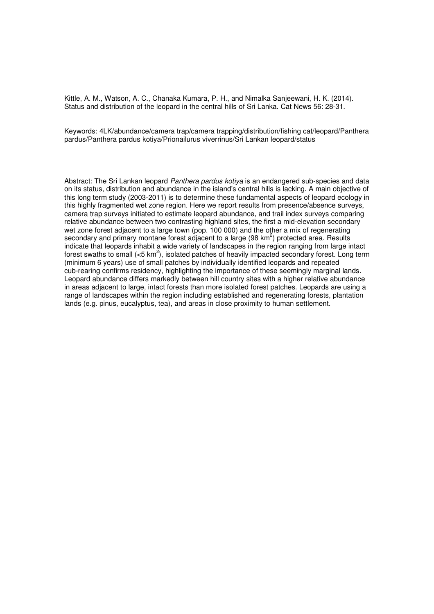Kittle, A. M., Watson, A. C., Chanaka Kumara, P. H., and Nimalka Sanjeewani, H. K. (2014). Status and distribution of the leopard in the central hills of Sri Lanka. Cat News 56: 28-31.

Keywords: 4LK/abundance/camera trap/camera trapping/distribution/fishing cat/leopard/Panthera pardus/Panthera pardus kotiya/Prionailurus viverrinus/Sri Lankan leopard/status

Abstract: The Sri Lankan leopard Panthera pardus kotiya is an endangered sub-species and data on its status, distribution and abundance in the island's central hills is lacking. A main objective of this long term study (2003-2011) is to determine these fundamental aspects of leopard ecology in this highly fragmented wet zone region. Here we report results from presence/absence surveys, camera trap surveys initiated to estimate leopard abundance, and trail index surveys comparing relative abundance between two contrasting highland sites, the first a mid-elevation secondary wet zone forest adjacent to a large town (pop. 100 000) and the other a mix of regenerating secondary and primary montane forest adjacent to a large (98 km<sup>2</sup>) protected area. Results indicate that leopards inhabit a wide variety of landscapes in the region ranging from large intact forest swaths to small (<5 km<sup>2</sup>), isolated patches of heavily impacted secondary forest. Long term (minimum 6 years) use of small patches by individually identified leopards and repeated cub-rearing confirms residency, highlighting the importance of these seemingly marginal lands. Leopard abundance differs markedly between hill country sites with a higher relative abundance in areas adjacent to large, intact forests than more isolated forest patches. Leopards are using a range of landscapes within the region including established and regenerating forests, plantation lands (e.g. pinus, eucalyptus, tea), and areas in close proximity to human settlement.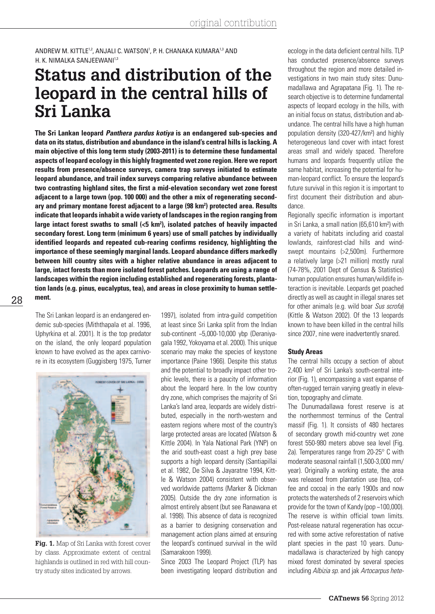ANDREW M. KITTLE<sup>1,2</sup>, ANJALI C. WATSON', P. H. CHANAKA KUMARA<sup>1,3</sup> AND H. K. NIMALKA SANJEEWANI<sup>1,3</sup>

# **Status and distribution of the leopard in the central hills of Sri Lanka**

**The Sri Lankan leopard** *Panthera pardus kotiya* **is an endangered sub-species and data on its status, distribution and abundance in the island's central hills is lacking. A main objective of this long term study (2003-2011) is to determine these fundamental aspects of leopard ecology in this highly fragmented wet zone region. Here we report results from presence/absence surveys, camera trap surveys initiated to estimate leopard abundance, and trail index surveys comparing relative abundance between two contrasting highland sites, the first a mid-elevation secondary wet zone forest adjacent to a large town (pop. 100 000) and the other a mix of regenerating second**ary and primary montane forest adjacent to a large (98 km<sup>2</sup>) protected area. Results **indicate that leopards inhabit a wide variety of landscapes in the region ranging from large intact forest swaths to small (<5 km2 ), isolated patches of heavily impacted secondary forest. Long term (minimum 6 years) use of small patches by individually identified leopards and repeated cub-rearing confirms residency, highlighting the importance of these seemingly marginal lands. Leopard abundance differs markedly between hill country sites with a higher relative abundance in areas adjacent to large, intact forests than more isolated forest patches. Leopards are using a range of landscapes within the region including established and regenerating forests, plantation lands (e.g. pinus, eucalyptus, tea), and areas in close proximity to human settlement.** 

The Sri Lankan leopard is an endangered endemic sub-species (Miththapala et al. 1996, Uphyrkina et al. 2001). It is the top predator on the island, the only leopard population known to have evolved as the apex carnivore in its ecosystem (Guggisberg 1975, Turner



**Fig. 1.** Map of Sri Lanka with forest cover by class. Approximate extent of central highlands is outlined in red with hill country study sites indicated by arrows.

1997), isolated from intra-guild competition at least since Sri Lanka split from the Indian sub-continent ~5,000-10,000 ybp (Deraniyagala 1992, Yokoyama et al. 2000). This unique scenario may make the species of keystone importance (Paine 1966). Despite this status and the potential to broadly impact other trophic levels, there is a paucity of information about the leopard here. In the low country dry zone, which comprises the majority of Sri Lanka's land area, leopards are widely distributed, especially in the north-western and eastern regions where most of the country's large protected areas are located (Watson & Kittle 2004). In Yala National Park (YNP) on the arid south-east coast a high prey base supports a high leopard density (Santiapillai et al. 1982, De Silva & Jayaratne 1994, Kittle & Watson 2004) consistent with observed worldwide patterns (Marker & Dickman 2005). Outside the dry zone information is almost entirely absent (but see Ranawana et al. 1998). This absence of data is recognized as a barrier to designing conservation and management action plans aimed at ensuring the leopard's continued survival in the wild (Samarakoon 1999).

Since 2003 The Leopard Project (TLP) has been investigating leopard distribution and ecology in the data deficient central hills. TLP has conducted presence/absence surveys throughout the region and more detailed investigations in two main study sites: Dunumadallawa and Agrapatana (Fig. 1). The research objective is to determine fundamental aspects of leopard ecology in the hills, with an initial focus on status, distribution and abundance. The central hills have a high human population density (320-427/km²) and highly heterogeneous land cover with intact forest areas small and widely spaced. Therefore humans and leopards frequently utilize the same habitat, increasing the potential for human-leopard conflict. To ensure the leopard's future survival in this region it is important to first document their distribution and abundance.

Regionally specific information is important in Sri Lanka, a small nation (65,610 km²) with a variety of habitats including arid coastal lowlands, rainforest-clad hills and windswept mountains (>2,500m). Furthermore a relatively large (>21 million) mostly rural (74-78%, 2001 Dept of Census & Statistics) human population ensures human/wildlife interaction is inevitable. Leopards get poached directly as well as caught in illegal snares set for other animals (e.g. wild boar *Sus scrofa*) (Kittle & Watson 2002). Of the 13 leopards known to have been killed in the central hills since 2007, nine were inadvertently snared.

#### **Study Areas**

The central hills occupy a section of about 2,400 km² of Sri Lanka's south-central interior (Fig. 1), encompassing a vast expanse of often-rugged terrain varying greatly in elevation, topography and climate.

The Dunumadallawa forest reserve is at the northernmost terminus of the Central massif (Fig. 1). It consists of 480 hectares of secondary growth mid-country wet zone forest 550-980 meters above sea level (Fig. 2a). Temperatures range from 20-25° C with moderate seasonal rainfall (1,500-3,000 mm/ year). Originally a working estate, the area was released from plantation use (tea, coffee and cocoa) in the early 1900s and now protects the watersheds of 2 reservoirs which provide for the town of Kandy (pop ~100,000). The reserve is within official town limits. Post-release natural regeneration has occurred with some active reforestation of native plant species in the past 10 years. Dunumadallawa is characterized by high canopy mixed forest dominated by several species including *Albizia sp*. and jak *Artocarpus hete-*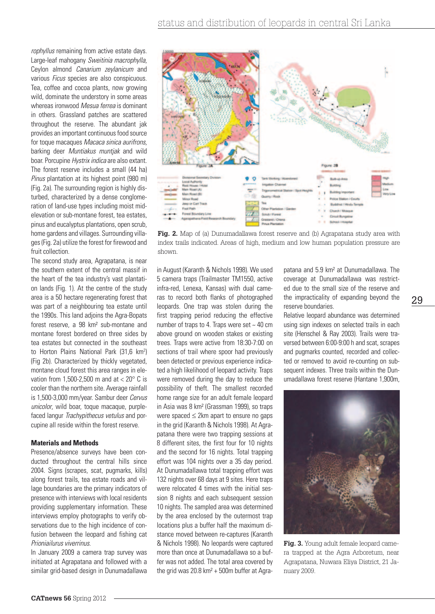*rophyllus* remaining from active estate days. Large-leaf mahogany *Sweitinia macrophylla*, Ceylon almond *Canarium zeylanicum* and various *Ficus* species are also conspicuous. Tea, coffee and cocoa plants, now growing wild, dominate the understory in some areas whereas ironwood *Mesua ferrea* is dominant in others. Grassland patches are scattered throughout the reserve. The abundant jak provides an important continuous food source for toque macaques *Macaca sinica aurifrons*, barking deer *Muntiakus muntjak* and wild boar. Porcupine *Hystrix indica* are also extant. The forest reserve includes a small (44 ha) *Pinus* plantation at its highest point (980 m) (Fig. 2a). The surrounding region is highly disturbed, characterized by a dense conglomeration of land-use types including moist midelevation or sub-montane forest, tea estates, pinus and eucalyptus plantations, open scrub, home gardens and villages. Surrounding villages (Fig. 2a) utilize the forest for firewood and fruit collection.

The second study area, Agrapatana, is near the southern extent of the central massif in the heart of the tea industry's vast plantation lands (Fig. 1). At the centre of the study area is a 50 hectare regenerating forest that was part of a neighbouring tea estate until the 1990s. This land adjoins the Agra-Bopats forest reserve, a 98 km² sub-montane and montane forest bordered on three sides by tea estates but connected in the southeast to Horton Plains National Park (31,6 km<sup>2</sup>) (Fig 2b). Characterized by thickly vegetated, montane cloud forest this area ranges in elevation from 1.500-2.500 m and at  $< 20^{\circ}$  C is cooler than the northern site. Average rainfall is 1,500-3,000 mm/year. Sambur deer *Cervus unicolor*, wild boar, toque macaque, purplefaced langur *Trachypithecus vetulus* and porcupine all reside within the forest reserve.

# **Materials and Methods**

Presence/absence surveys have been conducted throughout the central hills since 2004. Signs (scrapes, scat, pugmarks, kills) along forest trails, tea estate roads and village boundaries are the primary indicators of presence with interviews with local residents providing supplementary information. These interviews employ photographs to verify observations due to the high incidence of confusion between the leopard and fishing cat *Prioniailurus viverrinus*.

In January 2009 a camera trap survey was initiated at Agrapatana and followed with a similar grid-based design in Dunumadallawa



**Fig. 2.** Map of (a) Dunumadallawa forest reserve and (b) Agrapatana study area with index trails indicated. Areas of high, medium and low human population pressure are shown.

in August (Karanth & Nichols 1998). We used 5 camera traps (Trailmaster TM1550, active infra-red, Lenexa, Kansas) with dual cameras to record both flanks of photographed leopards. One trap was stolen during the first trapping period reducing the effective number of traps to 4. Traps were set ~ 40 cm above ground on wooden stakes or existing trees. Traps were active from 18:30-7:00 on sections of trail where spoor had previously been detected or previous experience indicated a high likelihood of leopard activity. Traps were removed during the day to reduce the possibility of theft. The smallest recorded home range size for an adult female leopard in Asia was 8 km² (Grassman 1999), so traps were spaced ≤ 2km apart to ensure no gaps in the grid (Karanth & Nichols 1998). At Agrapatana there were two trapping sessions at 8 different sites, the first four for 10 nights and the second for 16 nights. Total trapping effort was 104 nights over a 35 day period. At Dunumadallawa total trapping effort was 132 nights over 68 days at 9 sites. Here traps were relocated 4 times with the initial session 8 nights and each subsequent session 10 nights. The sampled area was determined by the area enclosed by the outermost trap locations plus a buffer half the maximum distance moved between re-captures (Karanth & Nichols 1998). No leopards were captured more than once at Dunumadallawa so a buffer was not added. The total area covered by the grid was 20.8 km² + 500m buffer at Agra-

patana and 5.9 km² at Dunumadallawa. The coverage at Dunumadallawa was restricted due to the small size of the reserve and the impracticality of expanding beyond the reserve boundaries.

Relative leopard abundance was determined using sign indexes on selected trails in each site (Henschel & Ray 2003). Trails were traversed between 6:00-9:00 h and scat, scrapes and pugmarks counted, recorded and collected or removed to avoid re-counting on subsequent indexes. Three trails within the Dunumadallawa forest reserve (Hantane 1,900m,



Fig. 3. Young adult female leopard camera trapped at the Agra Arboretum, near Agrapatana, Nuwara Eliya District, 21 January 2009.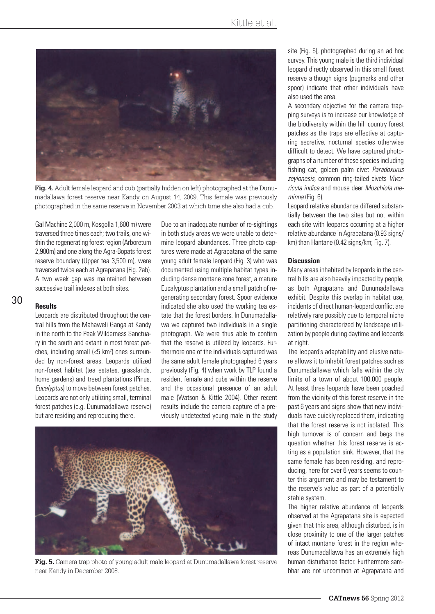

**Fig. 4.** Adult female leopard and cub (partially hidden on left) photographed at the Dunumadallawa forest reserve near Kandy on August 14, 2009. This female was previously photographed in the same reserve in November 2003 at which time she also had a cub.

Gal Machine 2,000 m, Kosgolla 1,600 m) were traversed three times each; two trails, one within the regenerating forest region (Arboretum 2,900m) and one along the Agra-Bopats forest reserve boundary (Upper tea 3,500 m), were traversed twice each at Agrapatana (Fig. 2ab). A two week gap was maintained between successive trail indexes at both sites.

30

# **Results**

Leopards are distributed throughout the central hills from the Mahaweli Ganga at Kandy in the north to the Peak Wilderness Sanctuary in the south and extant in most forest patches, including small (<5 km²) ones surrounded by non-forest areas. Leopards utilized non-forest habitat (tea estates, grasslands, home gardens) and treed plantations (Pinus, *Eucalyptus*) to move between forest patches. Leopards are not only utilizing small, terminal forest patches (e.g. Dunumadallawa reserve) but are residing and reproducing there.

Due to an inadequate number of re-sightings in both study areas we were unable to determine leopard abundances. Three photo captures were made at Agrapatana of the same young adult female leopard (Fig. 3) who was documented using multiple habitat types including dense montane zone forest, a mature Eucalyptus plantation and a small patch of regenerating secondary forest. Spoor evidence indicated she also used the working tea estate that the forest borders. In Dunumadallawa we captured two individuals in a single photograph. We were thus able to confirm that the reserve is utilized by leopards. Furthermore one of the individuals captured was the same adult female photographed 6 years previously (Fig. 4) when work by TLP found a resident female and cubs within the reserve and the occasional presence of an adult male (Watson & Kittle 2004). Other recent results include the camera capture of a previously undetected young male in the study



**Fig. 5.** Camera trap photo of young adult male leopard at Dunumadallawa forest reserve near Kandy in December 2008.

site (Fig. 5), photographed during an ad hoc survey. This young male is the third individual leopard directly observed in this small forest reserve although signs (pugmarks and other spoor) indicate that other individuals have also used the area.

A secondary objective for the camera trapping surveys is to increase our knowledge of the biodiversity within the hill country forest patches as the traps are effective at capturing secretive, nocturnal species otherwise difficult to detect. We have captured photographs of a number of these species including fishing cat, golden palm civet *Paradoxurus zeylonesis*, common ring-tailed civets *Viverricula indica* and mouse deer *Moschiola meminna* (Fig. 6).

Leopard relative abundance differed substantially between the two sites but not within each site with leopards occurring at a higher relative abundance in Agrapatana (0.93 signs/ km) than Hantane (0.42 signs/km; Fig. 7).

### **Discussion**

Many areas inhabited by leopards in the central hills are also heavily impacted by people, as both Agrapatana and Dunumadallawa exhibit. Despite this overlap in habitat use, incidents of direct human-leopard conflict are relatively rare possibly due to temporal niche partitioning characterized by landscape utilization by people during daytime and leopards at night.

The leopard's adaptability and elusive nature allows it to inhabit forest patches such as Dunumadallawa which falls within the city limits of a town of about 100,000 people. At least three leopards have been poached from the vicinity of this forest reserve in the past 6 years and signs show that new individuals have quickly replaced them, indicating that the forest reserve is not isolated. This high turnover is of concern and begs the question whether this forest reserve is acting as a population sink. However, that the same female has been residing, and reproducing, here for over 6 years seems to counter this argument and may be testament to the reserve's value as part of a potentially stable system.

The higher relative abundance of leopards observed at the Agrapatana site is expected given that this area, although disturbed, is in close proximity to one of the larger patches of intact montane forest in the region whereas Dunumadallawa has an extremely high human disturbance factor. Furthermore sambhar are not uncommon at Agrapatana and